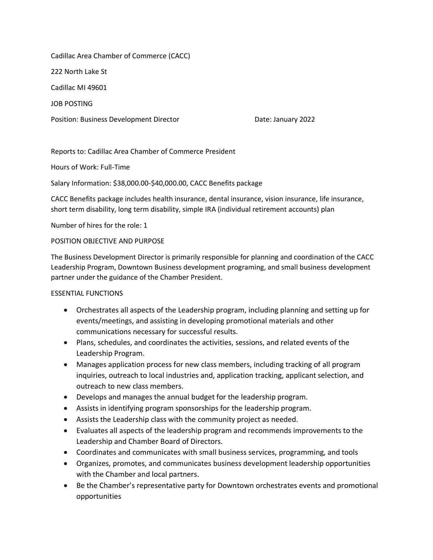Cadillac Area Chamber of Commerce (CACC)

222 North Lake St

Cadillac MI 49601

JOB POSTING

Position: Business Development Director **Date: January 2022** 

Reports to: Cadillac Area Chamber of Commerce President

Hours of Work: Full-Time

Salary Information: \$38,000.00-\$40,000.00, CACC Benefits package

CACC Benefits package includes health insurance, dental insurance, vision insurance, life insurance, short term disability, long term disability, simple IRA (individual retirement accounts) plan

Number of hires for the role: 1

# POSITION OBJECTIVE AND PURPOSE

The Business Development Director is primarily responsible for planning and coordination of the CACC Leadership Program, Downtown Business development programing, and small business development partner under the guidance of the Chamber President.

# ESSENTIAL FUNCTIONS

- Orchestrates all aspects of the Leadership program, including planning and setting up for events/meetings, and assisting in developing promotional materials and other communications necessary for successful results.
- Plans, schedules, and coordinates the activities, sessions, and related events of the Leadership Program.
- Manages application process for new class members, including tracking of all program inquiries, outreach to local industries and, application tracking, applicant selection, and outreach to new class members.
- Develops and manages the annual budget for the leadership program.
- Assists in identifying program sponsorships for the leadership program.
- Assists the Leadership class with the community project as needed.
- Evaluates all aspects of the leadership program and recommends improvements to the Leadership and Chamber Board of Directors.
- Coordinates and communicates with small business services, programming, and tools
- Organizes, promotes, and communicates business development leadership opportunities with the Chamber and local partners.
- Be the Chamber's representative party for Downtown orchestrates events and promotional opportunities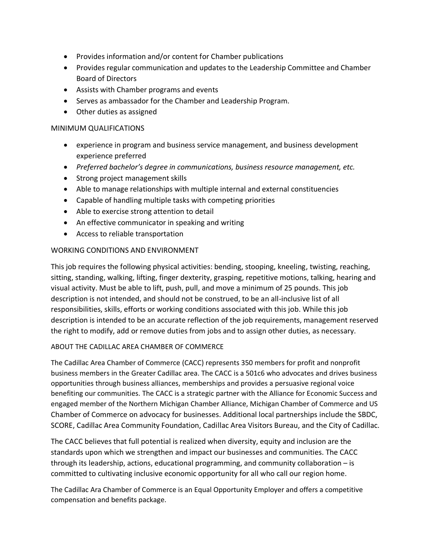- Provides information and/or content for Chamber publications
- Provides regular communication and updates to the Leadership Committee and Chamber Board of Directors
- Assists with Chamber programs and events
- Serves as ambassador for the Chamber and Leadership Program.
- Other duties as assigned

## MINIMUM QUALIFICATIONS

- experience in program and business service management, and business development experience preferred
- *Preferred bachelor's degree in communications, business resource management, etc.*
- Strong project management skills
- Able to manage relationships with multiple internal and external constituencies
- Capable of handling multiple tasks with competing priorities
- Able to exercise strong attention to detail
- An effective communicator in speaking and writing
- Access to reliable transportation

# WORKING CONDITIONS AND ENVIRONMENT

This job requires the following physical activities: bending, stooping, kneeling, twisting, reaching, sitting, standing, walking, lifting, finger dexterity, grasping, repetitive motions, talking, hearing and visual activity. Must be able to lift, push, pull, and move a minimum of 25 pounds. This job description is not intended, and should not be construed, to be an all-inclusive list of all responsibilities, skills, efforts or working conditions associated with this job. While this job description is intended to be an accurate reflection of the job requirements, management reserved the right to modify, add or remove duties from jobs and to assign other duties, as necessary.

### ABOUT THE CADILLAC AREA CHAMBER OF COMMERCE

The Cadillac Area Chamber of Commerce (CACC) represents 350 members for profit and nonprofit business members in the Greater Cadillac area. The CACC is a 501c6 who advocates and drives business opportunities through business alliances, memberships and provides a persuasive regional voice benefiting our communities. The CACC is a strategic partner with the Alliance for Economic Success and engaged member of the Northern Michigan Chamber Alliance, Michigan Chamber of Commerce and US Chamber of Commerce on advocacy for businesses. Additional local partnerships include the SBDC, SCORE, Cadillac Area Community Foundation, Cadillac Area Visitors Bureau, and the City of Cadillac.

The CACC believes that full potential is realized when diversity, equity and inclusion are the standards upon which we strengthen and impact our businesses and communities. The CACC through its leadership, actions, educational programming, and community collaboration – is committed to cultivating inclusive economic opportunity for all who call our region home.

The Cadillac Ara Chamber of Commerce is an Equal Opportunity Employer and offers a competitive compensation and benefits package.